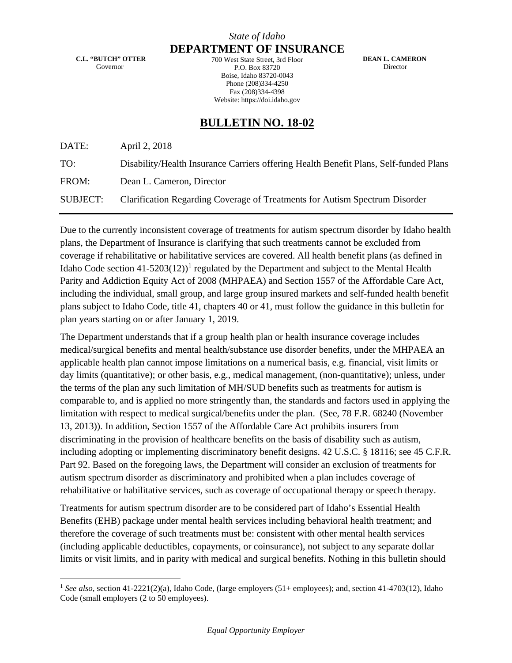## *State of Idaho* **DEPARTMENT OF INSURANCE**

**C.L. "BUTCH" OTTER** Governor

700 West State Street, 3rd Floor P.O. Box 83720 Boise, Idaho 83720-0043 Phone (208)334-4250 Fax (208)334-4398 Website: https://doi.idaho.gov

 **DEAN L. CAMERON** Director

## **BULLETIN NO. 18-02**

DATE: April 2, 2018

TO: Disability/Health Insurance Carriers offering Health Benefit Plans, Self-funded Plans

FROM: Dean L. Cameron, Director

SUBJECT: Clarification Regarding Coverage of Treatments for Autism Spectrum Disorder

Due to the currently inconsistent coverage of treatments for autism spectrum disorder by Idaho health plans, the Department of Insurance is clarifying that such treatments cannot be excluded from coverage if rehabilitative or habilitative services are covered. All health benefit plans (as defined in Idaho Code section  $41-5203(12)^{1}$  $41-5203(12)^{1}$  $41-5203(12)^{1}$  regulated by the Department and subject to the Mental Health Parity and Addiction Equity Act of 2008 (MHPAEA) and Section 1557 of the Affordable Care Act, including the individual, small group, and large group insured markets and self-funded health benefit plans subject to Idaho Code, title 41, chapters 40 or 41, must follow the guidance in this bulletin for plan years starting on or after January 1, 2019.

The Department understands that if a group health plan or health insurance coverage includes medical/surgical benefits and mental health/substance use disorder benefits, under the MHPAEA an applicable health plan cannot impose limitations on a numerical basis, e.g. financial, visit limits or day limits (quantitative); or other basis, e.g., medical management, (non-quantitative); unless, under the terms of the plan any such limitation of MH/SUD benefits such as treatments for autism is comparable to, and is applied no more stringently than, the standards and factors used in applying the limitation with respect to medical surgical/benefits under the plan. (See, 78 F.R. 68240 (November 13, 2013)). In addition, Section 1557 of the Affordable Care Act prohibits insurers from discriminating in the provision of healthcare benefits on the basis of disability such as autism, including adopting or implementing discriminatory benefit designs. 42 U.S.C. § 18116; see 45 C.F.R. Part 92. Based on the foregoing laws, the Department will consider an exclusion of treatments for autism spectrum disorder as discriminatory and prohibited when a plan includes coverage of rehabilitative or habilitative services, such as coverage of occupational therapy or speech therapy.

Treatments for autism spectrum disorder are to be considered part of Idaho's Essential Health Benefits (EHB) package under mental health services including behavioral health treatment; and therefore the coverage of such treatments must be: consistent with other mental health services (including applicable deductibles, copayments, or coinsurance), not subject to any separate dollar limits or visit limits, and in parity with medical and surgical benefits. Nothing in this bulletin should

<span id="page-0-0"></span><sup>&</sup>lt;sup>1</sup> See also, section 41-2221(2)(a), Idaho Code, (large employers (51+ employees); and, section 41-4703(12), Idaho Code (small employers (2 to 50 employees).